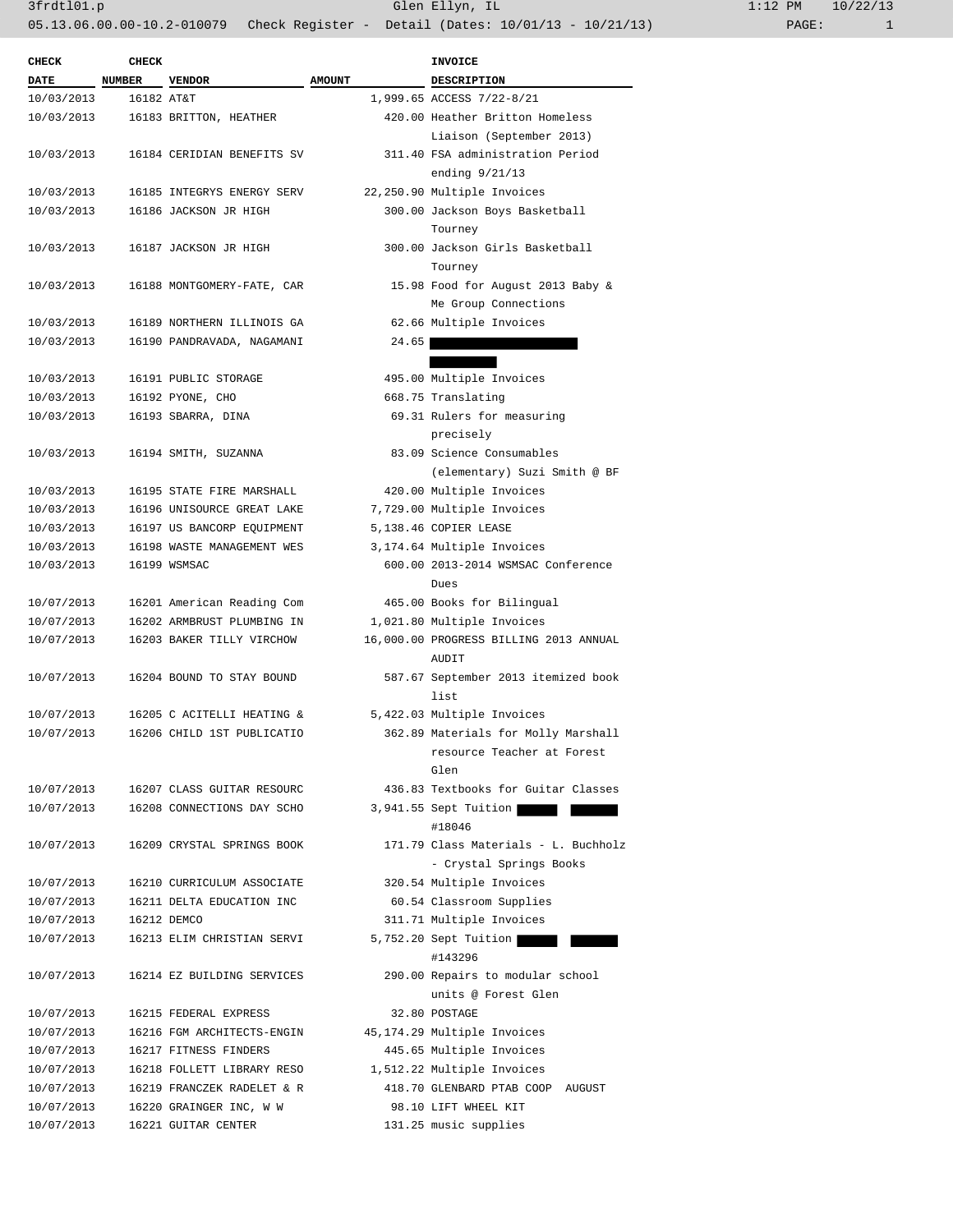| <b>CHECK</b>             | <b>CHECK</b> |                            |               | <b>INVOICE</b>                         |
|--------------------------|--------------|----------------------------|---------------|----------------------------------------|
| <b>DATE</b>              | NUMBER       | <b>VENDOR</b>              | <b>AMOUNT</b> | DESCRIPTION                            |
| 10/03/2013               | 16182 AT&T   |                            |               | 1,999.65 ACCESS 7/22-8/21              |
| 10/03/2013               |              | 16183 BRITTON, HEATHER     |               | 420.00 Heather Britton Homeless        |
|                          |              |                            |               | Liaison (September 2013)               |
| 10/03/2013               |              | 16184 CERIDIAN BENEFITS SV |               | 311.40 FSA administration Period       |
|                          |              |                            |               | ending $9/21/13$                       |
| 10/03/2013               |              | 16185 INTEGRYS ENERGY SERV |               | 22,250.90 Multiple Invoices            |
| 10/03/2013               |              | 16186 JACKSON JR HIGH      |               | 300.00 Jackson Boys Basketball         |
|                          |              |                            |               | Tourney                                |
| 10/03/2013               |              | 16187 JACKSON JR HIGH      |               | 300.00 Jackson Girls Basketball        |
|                          |              |                            |               | Tourney                                |
| 10/03/2013               |              | 16188 MONTGOMERY-FATE, CAR |               | 15.98 Food for August 2013 Baby &      |
|                          |              |                            |               | Me Group Connections                   |
| 10/03/2013               |              | 16189 NORTHERN ILLINOIS GA |               | 62.66 Multiple Invoices                |
| 10/03/2013               |              | 16190 PANDRAVADA, NAGAMANI | 24.65         |                                        |
|                          |              |                            |               |                                        |
| 10/03/2013               |              | 16191 PUBLIC STORAGE       |               | 495.00 Multiple Invoices               |
| 10/03/2013               |              | 16192 PYONE, CHO           |               | 668.75 Translating                     |
| 10/03/2013               |              | 16193 SBARRA, DINA         |               | 69.31 Rulers for measuring             |
|                          |              |                            |               | precisely                              |
| 10/03/2013               |              | 16194 SMITH, SUZANNA       |               | 83.09 Science Consumables              |
|                          |              |                            |               | (elementary) Suzi Smith @ BF           |
| 10/03/2013               |              | 16195 STATE FIRE MARSHALL  |               | 420.00 Multiple Invoices               |
| 10/03/2013               |              | 16196 UNISOURCE GREAT LAKE |               | 7,729.00 Multiple Invoices             |
| 10/03/2013               |              | 16197 US BANCORP EQUIPMENT |               | 5,138.46 COPIER LEASE                  |
| 10/03/2013               |              | 16198 WASTE MANAGEMENT WES |               | 3,174.64 Multiple Invoices             |
| 10/03/2013               |              | 16199 WSMSAC               |               | 600.00 2013-2014 WSMSAC Conference     |
|                          |              |                            |               | Dues                                   |
| 10/07/2013               |              | 16201 American Reading Com |               | 465.00 Books for Bilingual             |
| 10/07/2013               |              | 16202 ARMBRUST PLUMBING IN |               | 1,021.80 Multiple Invoices             |
| 10/07/2013               |              | 16203 BAKER TILLY VIRCHOW  |               | 16,000.00 PROGRESS BILLING 2013 ANNUAL |
|                          |              |                            |               | AUDIT                                  |
| 10/07/2013               |              | 16204 BOUND TO STAY BOUND  |               | 587.67 September 2013 itemized book    |
|                          |              |                            |               | list                                   |
| 10/07/2013               |              | 16205 C ACITELLI HEATING & |               |                                        |
| 10/07/2013               |              | 16206 CHILD 1ST PUBLICATIO |               | 5,422.03 Multiple Invoices             |
|                          |              |                            |               | 362.89 Materials for Molly Marshall    |
|                          |              |                            |               | resource Teacher at Forest<br>Glen     |
|                          |              |                            |               | 436.83 Textbooks for Guitar Classes    |
| 10/07/2013<br>10/07/2013 |              | 16207 CLASS GUITAR RESOURC |               |                                        |
|                          |              | 16208 CONNECTIONS DAY SCHO |               | 3,941.55 Sept Tuition<br>#18046        |
|                          |              |                            |               | 171.79 Class Materials - L. Buchholz   |
| 10/07/2013               |              | 16209 CRYSTAL SPRINGS BOOK |               |                                        |
|                          |              |                            |               | - Crystal Springs Books                |
| 10/07/2013               |              | 16210 CURRICULUM ASSOCIATE |               | 320.54 Multiple Invoices               |
| 10/07/2013               |              | 16211 DELTA EDUCATION INC  |               | 60.54 Classroom Supplies               |
| 10/07/2013               |              | 16212 DEMCO                |               | 311.71 Multiple Invoices               |
| 10/07/2013               |              | 16213 ELIM CHRISTIAN SERVI |               | 5,752.20 Sept Tuition                  |
|                          |              |                            |               | #143296                                |
| 10/07/2013               |              | 16214 EZ BUILDING SERVICES |               | 290.00 Repairs to modular school       |
|                          |              |                            |               | units @ Forest Glen                    |
| 10/07/2013               |              | 16215 FEDERAL EXPRESS      |               | 32.80 POSTAGE                          |
| 10/07/2013               |              | 16216 FGM ARCHITECTS-ENGIN |               | 45,174.29 Multiple Invoices            |
| 10/07/2013               |              | 16217 FITNESS FINDERS      |               | 445.65 Multiple Invoices               |
| 10/07/2013               |              | 16218 FOLLETT LIBRARY RESO |               | 1,512.22 Multiple Invoices             |
| 10/07/2013               |              | 16219 FRANCZEK RADELET & R |               | 418.70 GLENBARD PTAB COOP AUGUST       |
| 10/07/2013               |              | 16220 GRAINGER INC, W W    |               | 98.10 LIFT WHEEL KIT                   |
| 10/07/2013               |              | 16221 GUITAR CENTER        |               | 131.25 music supplies                  |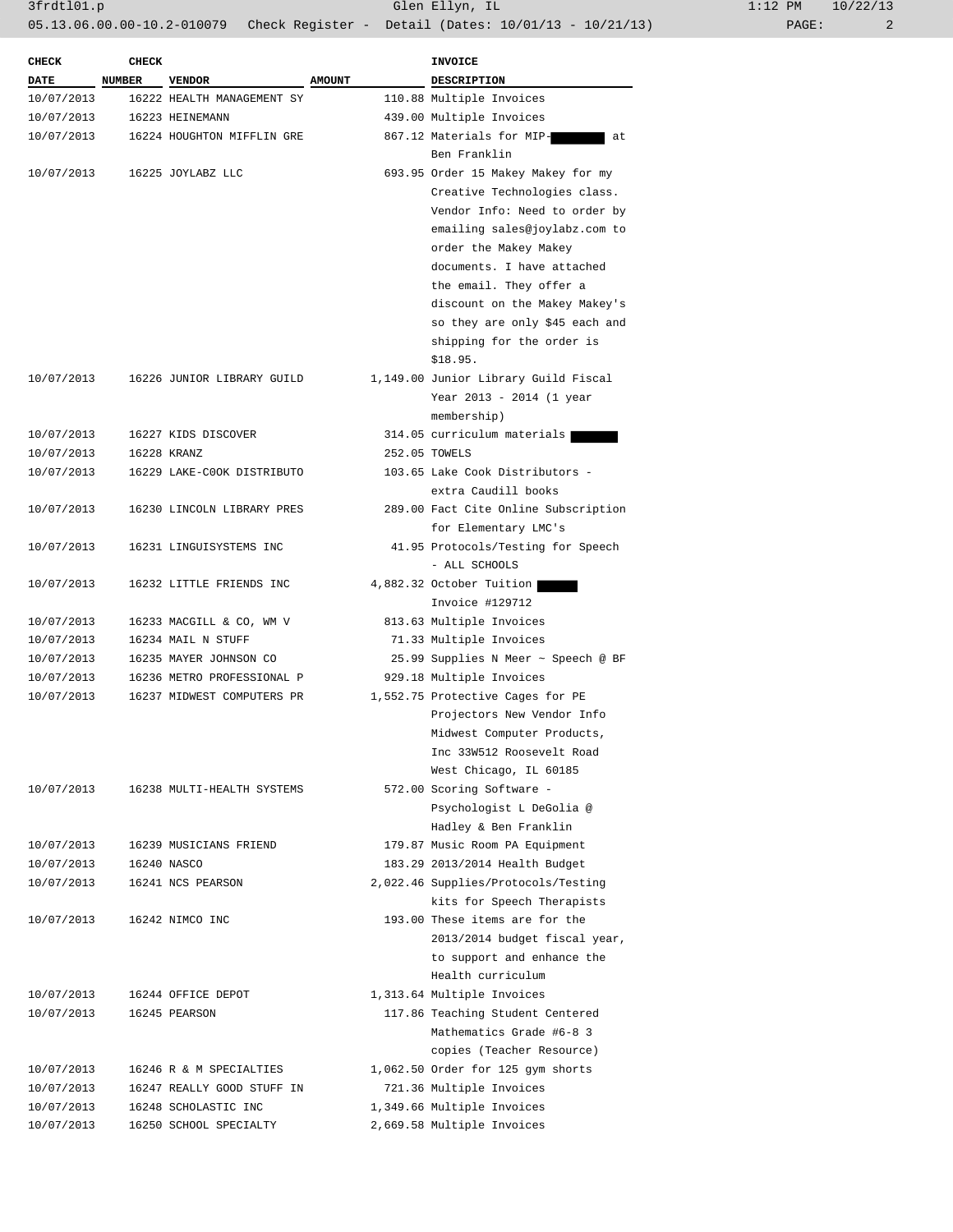| <b>CHECK</b> | <b>CHECK</b>  |                            |               | <b>INVOICE</b>                       |
|--------------|---------------|----------------------------|---------------|--------------------------------------|
| <b>DATE</b>  | <b>NUMBER</b> | <b>VENDOR</b>              | <b>AMOUNT</b> | <b>DESCRIPTION</b>                   |
| 10/07/2013   |               | 16222 HEALTH MANAGEMENT SY |               | 110.88 Multiple Invoices             |
| 10/07/2013   |               | 16223 HEINEMANN            |               | 439.00 Multiple Invoices             |
| 10/07/2013   |               | 16224 HOUGHTON MIFFLIN GRE |               | 867.12 Materials for MIP-<br>at      |
|              |               |                            |               | Ben Franklin                         |
| 10/07/2013   |               | 16225 JOYLABZ LLC          |               | 693.95 Order 15 Makey Makey for my   |
|              |               |                            |               | Creative Technologies class.         |
|              |               |                            |               | Vendor Info: Need to order by        |
|              |               |                            |               | emailing sales@joylabz.com to        |
|              |               |                            |               | order the Makey Makey                |
|              |               |                            |               | documents. I have attached           |
|              |               |                            |               | the email. They offer a              |
|              |               |                            |               | discount on the Makey Makey's        |
|              |               |                            |               | so they are only \$45 each and       |
|              |               |                            |               | shipping for the order is            |
|              |               |                            |               | \$18.95.                             |
| 10/07/2013   |               | 16226 JUNIOR LIBRARY GUILD |               | 1,149.00 Junior Library Guild Fiscal |
|              |               |                            |               | Year 2013 - 2014 (1 year             |
|              |               |                            |               | membership)                          |
| 10/07/2013   |               | 16227 KIDS DISCOVER        |               | 314.05 curriculum materials          |
| 10/07/2013   |               | 16228 KRANZ                |               | 252.05 TOWELS                        |
| 10/07/2013   |               | 16229 LAKE-COOK DISTRIBUTO |               | 103.65 Lake Cook Distributors -      |
|              |               |                            |               | extra Caudill books                  |
| 10/07/2013   |               | 16230 LINCOLN LIBRARY PRES |               | 289.00 Fact Cite Online Subscription |
|              |               |                            |               | for Elementary LMC's                 |
| 10/07/2013   |               | 16231 LINGUISYSTEMS INC    |               | 41.95 Protocols/Testing for Speech   |
|              |               |                            |               |                                      |
|              |               |                            |               | - ALL SCHOOLS                        |
| 10/07/2013   |               | 16232 LITTLE FRIENDS INC   |               | 4,882.32 October Tuition             |
|              |               |                            |               | Invoice #129712                      |
| 10/07/2013   |               | 16233 MACGILL & CO, WM V   |               | 813.63 Multiple Invoices             |
| 10/07/2013   |               | 16234 MAIL N STUFF         |               | 71.33 Multiple Invoices              |
| 10/07/2013   |               | 16235 MAYER JOHNSON CO     |               | 25.99 Supplies N Meer ~ Speech @ BF  |
| 10/07/2013   |               | 16236 METRO PROFESSIONAL P |               | 929.18 Multiple Invoices             |
| 10/07/2013   |               | 16237 MIDWEST COMPUTERS PR |               | 1,552.75 Protective Cages for PE     |
|              |               |                            |               | Projectors New Vendor Info           |
|              |               |                            |               | Midwest Computer Products,           |
|              |               |                            |               | Inc 33W512 Roosevelt Road            |
|              |               |                            |               | West Chicago, IL 60185               |
| 10/07/2013   |               | 16238 MULTI-HEALTH SYSTEMS |               | 572.00 Scoring Software -            |
|              |               |                            |               | Psychologist L DeGolia @             |
|              |               |                            |               | Hadley & Ben Franklin                |
| 10/07/2013   |               | 16239 MUSICIANS FRIEND     |               | 179.87 Music Room PA Equipment       |
| 10/07/2013   |               | 16240 NASCO                |               | 183.29 2013/2014 Health Budget       |
| 10/07/2013   |               | 16241 NCS PEARSON          |               | 2,022.46 Supplies/Protocols/Testing  |
|              |               |                            |               | kits for Speech Therapists           |
| 10/07/2013   |               | 16242 NIMCO INC            |               | 193.00 These items are for the       |
|              |               |                            |               | 2013/2014 budget fiscal year,        |
|              |               |                            |               | to support and enhance the           |
|              |               |                            |               | Health curriculum                    |
| 10/07/2013   |               | 16244 OFFICE DEPOT         |               | 1,313.64 Multiple Invoices           |
| 10/07/2013   |               | 16245 PEARSON              |               | 117.86 Teaching Student Centered     |
|              |               |                            |               | Mathematics Grade #6-8 3             |
|              |               |                            |               | copies (Teacher Resource)            |
| 10/07/2013   |               | 16246 R & M SPECIALTIES    |               | 1,062.50 Order for 125 gym shorts    |
| 10/07/2013   |               | 16247 REALLY GOOD STUFF IN |               | 721.36 Multiple Invoices             |
| 10/07/2013   |               | 16248 SCHOLASTIC INC       |               | 1,349.66 Multiple Invoices           |
| 10/07/2013   |               | 16250 SCHOOL SPECIALTY     |               | 2,669.58 Multiple Invoices           |
|              |               |                            |               |                                      |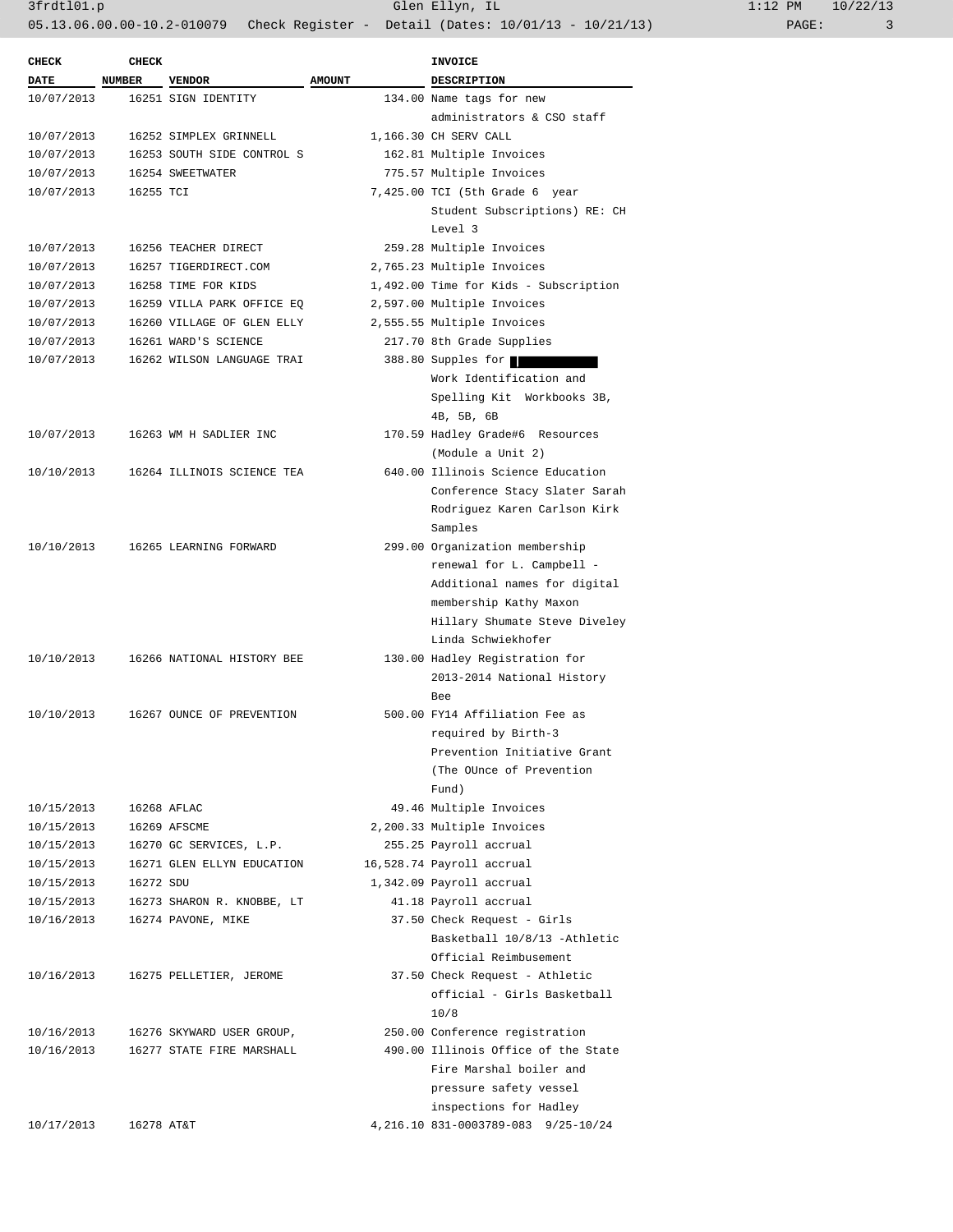| <b>CHECK</b> | <b>CHECK</b>  |                            |               | <b>INVOICE</b>                           |
|--------------|---------------|----------------------------|---------------|------------------------------------------|
| <b>DATE</b>  | <b>NUMBER</b> | <b>VENDOR</b>              | <b>AMOUNT</b> | <b>DESCRIPTION</b>                       |
| 10/07/2013   |               | 16251 SIGN IDENTITY        |               | 134.00 Name tags for new                 |
|              |               |                            |               | administrators & CSO staff               |
| 10/07/2013   |               | 16252 SIMPLEX GRINNELL     |               | 1,166.30 CH SERV CALL                    |
| 10/07/2013   |               | 16253 SOUTH SIDE CONTROL S |               | 162.81 Multiple Invoices                 |
| 10/07/2013   |               | 16254 SWEETWATER           |               | 775.57 Multiple Invoices                 |
| 10/07/2013   | 16255 TCI     |                            |               | 7,425.00 TCI (5th Grade 6 year           |
|              |               |                            |               | Student Subscriptions) RE: CH<br>Level 3 |
| 10/07/2013   |               | 16256 TEACHER DIRECT       |               | 259.28 Multiple Invoices                 |
| 10/07/2013   |               | 16257 TIGERDIRECT.COM      |               | 2,765.23 Multiple Invoices               |
| 10/07/2013   |               | 16258 TIME FOR KIDS        |               | 1,492.00 Time for Kids - Subscription    |
| 10/07/2013   |               | 16259 VILLA PARK OFFICE EQ |               | 2,597.00 Multiple Invoices               |
| 10/07/2013   |               | 16260 VILLAGE OF GLEN ELLY |               | 2,555.55 Multiple Invoices               |
| 10/07/2013   |               | 16261 WARD'S SCIENCE       |               | 217.70 8th Grade Supplies                |
| 10/07/2013   |               | 16262 WILSON LANGUAGE TRAI |               | 388.80 Supples for                       |
|              |               |                            |               | Work Identification and                  |
|              |               |                            |               | Spelling Kit Workbooks 3B,               |
|              |               |                            |               | 4B, 5B, 6B                               |
| 10/07/2013   |               | 16263 WM H SADLIER INC     |               | 170.59 Hadley Grade#6 Resources          |
|              |               |                            |               | (Module a Unit 2)                        |
| 10/10/2013   |               | 16264 ILLINOIS SCIENCE TEA |               | 640.00 Illinois Science Education        |
|              |               |                            |               | Conference Stacy Slater Sarah            |
|              |               |                            |               | Rodriguez Karen Carlson Kirk             |
|              |               |                            |               | Samples                                  |
| 10/10/2013   |               | 16265 LEARNING FORWARD     |               | 299.00 Organization membership           |
|              |               |                            |               | renewal for L. Campbell -                |
|              |               |                            |               | Additional names for digital             |
|              |               |                            |               | membership Kathy Maxon                   |
|              |               |                            |               | Hillary Shumate Steve Diveley            |
|              |               |                            |               | Linda Schwiekhofer                       |
| 10/10/2013   |               | 16266 NATIONAL HISTORY BEE |               | 130.00 Hadley Registration for           |
|              |               |                            |               | 2013-2014 National History               |
|              |               |                            |               | Bee                                      |
| 10/10/2013   |               | 16267 OUNCE OF PREVENTION  |               | 500.00 FY14 Affiliation Fee as           |
|              |               |                            |               | required by Birth-3                      |
|              |               |                            |               | Prevention Initiative Grant              |
|              |               |                            |               | (The OUnce of Prevention                 |
|              |               |                            |               | Fund)                                    |
| 10/15/2013   |               | 16268 AFLAC                |               | 49.46 Multiple Invoices                  |
| 10/15/2013   |               | 16269 AFSCME               |               | 2,200.33 Multiple Invoices               |
| 10/15/2013   |               | 16270 GC SERVICES, L.P.    |               | 255.25 Payroll accrual                   |
| 10/15/2013   |               | 16271 GLEN ELLYN EDUCATION |               | 16,528.74 Payroll accrual                |
| 10/15/2013   | 16272 SDU     |                            |               | 1,342.09 Payroll accrual                 |
| 10/15/2013   |               | 16273 SHARON R. KNOBBE, LT |               | 41.18 Payroll accrual                    |
| 10/16/2013   |               | 16274 PAVONE, MIKE         |               | 37.50 Check Request - Girls              |
|              |               |                            |               | Basketball 10/8/13 -Athletic             |
|              |               |                            |               | Official Reimbusement                    |
| 10/16/2013   |               | 16275 PELLETIER, JEROME    |               | 37.50 Check Request - Athletic           |
|              |               |                            |               | official - Girls Basketball              |
|              |               |                            |               | 10/8                                     |
| 10/16/2013   |               | 16276 SKYWARD USER GROUP,  |               | 250.00 Conference registration           |
| 10/16/2013   |               | 16277 STATE FIRE MARSHALL  |               | 490.00 Illinois Office of the State      |
|              |               |                            |               | Fire Marshal boiler and                  |
|              |               |                            |               | pressure safety vessel                   |
|              |               |                            |               | inspections for Hadley                   |
| 10/17/2013   | 16278 AT&T    |                            |               | 4, 216.10 831-0003789-083 9/25-10/24     |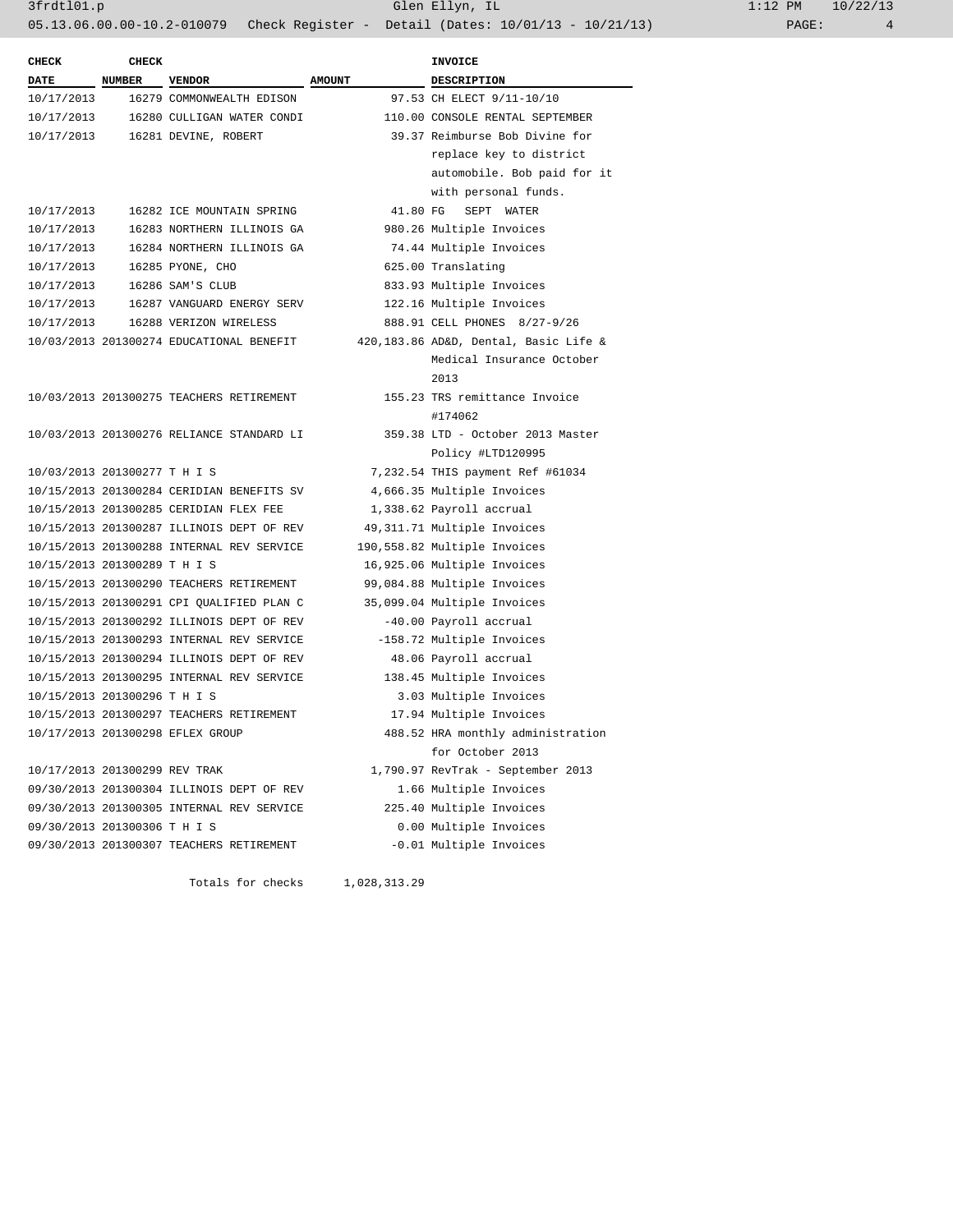3frdtl01.p Glen Ellyn, IL 1:12 PM 10/22/13

|                              |               |                                           |               | $0.13.06.00.00-10.2-010079$ Check Register - Detail (Dates: 10/01/13 - 10/21/13) | PAGE:<br>4 |
|------------------------------|---------------|-------------------------------------------|---------------|----------------------------------------------------------------------------------|------------|
| <b>CHECK</b>                 | <b>CHECK</b>  |                                           |               | <b>INVOICE</b>                                                                   |            |
| <b>DATE</b>                  | <b>NUMBER</b> | <b>VENDOR</b>                             | <b>AMOUNT</b> | <b>DESCRIPTION</b>                                                               |            |
| 10/17/2013                   |               | 16279 COMMONWEALTH EDISON                 |               | 97.53 CH ELECT 9/11-10/10                                                        |            |
| 10/17/2013                   |               | 16280 CULLIGAN WATER CONDI                |               | 110.00 CONSOLE RENTAL SEPTEMBER                                                  |            |
| 10/17/2013                   |               | 16281 DEVINE, ROBERT                      |               | 39.37 Reimburse Bob Divine for                                                   |            |
|                              |               |                                           |               | replace key to district                                                          |            |
|                              |               |                                           |               | automobile. Bob paid for it                                                      |            |
|                              |               |                                           |               | with personal funds.                                                             |            |
| 10/17/2013                   |               | 16282 ICE MOUNTAIN SPRING                 | 41.80 FG      | SEPT WATER                                                                       |            |
| 10/17/2013                   |               | 16283 NORTHERN ILLINOIS GA                |               | 980.26 Multiple Invoices                                                         |            |
| 10/17/2013                   |               | 16284 NORTHERN ILLINOIS GA                |               | 74.44 Multiple Invoices                                                          |            |
| 10/17/2013                   |               | 16285 PYONE, CHO                          |               | 625.00 Translating                                                               |            |
| 10/17/2013                   |               | 16286 SAM'S CLUB                          |               | 833.93 Multiple Invoices                                                         |            |
| 10/17/2013                   |               | 16287 VANGUARD ENERGY SERV                |               | 122.16 Multiple Invoices                                                         |            |
| 10/17/2013                   |               | 16288 VERIZON WIRELESS                    |               | 888.91 CELL PHONES 8/27-9/26                                                     |            |
|                              |               | 10/03/2013 201300274 EDUCATIONAL BENEFIT  |               | 420,183.86 AD&D, Dental, Basic Life &                                            |            |
|                              |               |                                           |               | Medical Insurance October                                                        |            |
|                              |               |                                           |               | 2013                                                                             |            |
|                              |               | 10/03/2013 201300275 TEACHERS RETIREMENT  |               | 155.23 TRS remittance Invoice                                                    |            |
|                              |               |                                           |               | #174062                                                                          |            |
|                              |               | 10/03/2013 201300276 RELIANCE STANDARD LI |               | 359.38 LTD - October 2013 Master                                                 |            |
|                              |               |                                           |               | Policy #LTD120995                                                                |            |
| 10/03/2013 201300277 T H I S |               |                                           |               | 7,232.54 THIS payment Ref #61034                                                 |            |
|                              |               | 10/15/2013 201300284 CERIDIAN BENEFITS SV |               | 4,666.35 Multiple Invoices                                                       |            |
|                              |               | 10/15/2013 201300285 CERIDIAN FLEX FEE    |               | 1,338.62 Payroll accrual                                                         |            |
|                              |               | 10/15/2013 201300287 ILLINOIS DEPT OF REV |               | 49,311.71 Multiple Invoices                                                      |            |
|                              |               | 10/15/2013 201300288 INTERNAL REV SERVICE |               | 190,558.82 Multiple Invoices                                                     |            |
| 10/15/2013 201300289 T H I S |               |                                           |               | 16,925.06 Multiple Invoices                                                      |            |
|                              |               | 10/15/2013 201300290 TEACHERS RETIREMENT  |               | 99,084.88 Multiple Invoices                                                      |            |
|                              |               | 10/15/2013 201300291 CPI QUALIFIED PLAN C |               | 35,099.04 Multiple Invoices                                                      |            |
|                              |               | 10/15/2013 201300292 ILLINOIS DEPT OF REV |               | -40.00 Payroll accrual                                                           |            |
|                              |               | 10/15/2013 201300293 INTERNAL REV SERVICE |               | -158.72 Multiple Invoices                                                        |            |
|                              |               | 10/15/2013 201300294 ILLINOIS DEPT OF REV |               | 48.06 Payroll accrual                                                            |            |
|                              |               | 10/15/2013 201300295 INTERNAL REV SERVICE |               | 138.45 Multiple Invoices                                                         |            |
| 10/15/2013 201300296 T H I S |               |                                           |               | 3.03 Multiple Invoices                                                           |            |
|                              |               | 10/15/2013 201300297 TEACHERS RETIREMENT  |               | 17.94 Multiple Invoices                                                          |            |
|                              |               | 10/17/2013 201300298 EFLEX GROUP          |               | 488.52 HRA monthly administration                                                |            |

10/17/2013 201300299 REV TRAK 1,790.97 RevTrak - September 2013 09/30/2013 201300304 ILLINOIS DEPT OF REV 1.66 Multiple Invoices 09/30/2013 201300305 INTERNAL REV SERVICE 225.40 Multiple Invoices 09/30/2013 201300306 T H I S 0.00 Multiple Invoices 09/30/2013 201300307 TEACHERS RETIREMENT -0.01 Multiple Invoices

Totals for checks 1,028,313.29

for October 2013